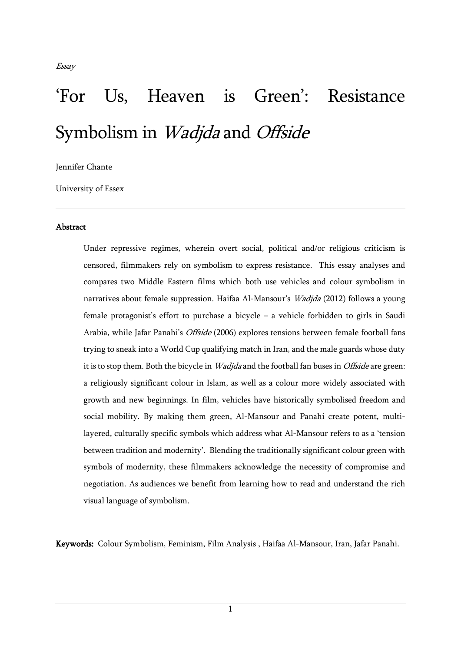# 'For Us, Heaven is Green': Resistance Symbolism in Wadjda and Offside

Jennifer Chante

University of Essex

#### Abstract

Under repressive regimes, wherein overt social, political and/or religious criticism is censored, filmmakers rely on symbolism to express resistance. This essay analyses and compares two Middle Eastern films which both use vehicles and colour symbolism in narratives about female suppression. Haifaa Al-Mansour's Wadjda (2012) follows a young female protagonist's effort to purchase a bicycle – a vehicle forbidden to girls in Saudi Arabia, while Jafar Panahi's Offside (2006) explores tensions between female football fans trying to sneak into a World Cup qualifying match in Iran, and the male guards whose duty it is to stop them. Both the bicycle in *Wadjda* and the football fan buses in *Offside* are green: a religiously significant colour in Islam, as well as a colour more widely associated with growth and new beginnings. In film, vehicles have historically symbolised freedom and social mobility. By making them green, Al-Mansour and Panahi create potent, multilayered, culturally specific symbols which address what Al-Mansour refers to as a 'tension between tradition and modernity'. Blending the traditionally significant colour green with symbols of modernity, these filmmakers acknowledge the necessity of compromise and negotiation. As audiences we benefit from learning how to read and understand the rich visual language of symbolism.

Keywords: Colour Symbolism, Feminism, Film Analysis , Haifaa Al-Mansour, Iran, Jafar Panahi.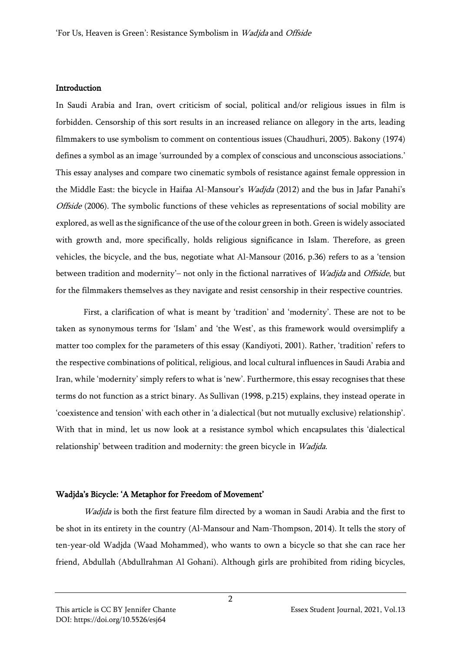#### Introduction

In Saudi Arabia and Iran, overt criticism of social, political and/or religious issues in film is forbidden. Censorship of this sort results in an increased reliance on allegory in the arts, leading filmmakers to use symbolism to comment on contentious issues (Chaudhuri, 2005). Bakony (1974) defines a symbol as an image 'surrounded by a complex of conscious and unconscious associations.' This essay analyses and compare two cinematic symbols of resistance against female oppression in the Middle East: the bicycle in Haifaa Al-Mansour's *Wadjda* (2012) and the bus in Jafar Panahi's Offside (2006). The symbolic functions of these vehicles as representations of social mobility are explored, as well as the significance of the use of the colour green in both. Green is widely associated with growth and, more specifically, holds religious significance in Islam. Therefore, as green vehicles, the bicycle, and the bus, negotiate what Al-Mansour (2016, p.36) refers to as a 'tension between tradition and modernity'– not only in the fictional narratives of *Wadjda* and *Offside*, but for the filmmakers themselves as they navigate and resist censorship in their respective countries.

First, a clarification of what is meant by 'tradition' and 'modernity'. These are not to be taken as synonymous terms for 'Islam' and 'the West', as this framework would oversimplify a matter too complex for the parameters of this essay (Kandiyoti, 2001). Rather, 'tradition' refers to the respective combinations of political, religious, and local cultural influences in Saudi Arabia and Iran, while 'modernity' simply refers to what is 'new'. Furthermore, this essay recognises that these terms do not function as a strict binary. As Sullivan (1998, p.215) explains, they instead operate in 'coexistence and tension' with each other in 'a dialectical (but not mutually exclusive) relationship'. With that in mind, let us now look at a resistance symbol which encapsulates this 'dialectical relationship' between tradition and modernity: the green bicycle in Wadjda.

#### Wadjda's Bicycle: 'A Metaphor for Freedom of Movement'

Wadjda is both the first feature film directed by a woman in Saudi Arabia and the first to be shot in its entirety in the country (Al-Mansour and Nam-Thompson, 2014). It tells the story of ten-year-old Wadjda (Waad Mohammed), who wants to own a bicycle so that she can race her friend, Abdullah (Abdullrahman Al Gohani). Although girls are prohibited from riding bicycles,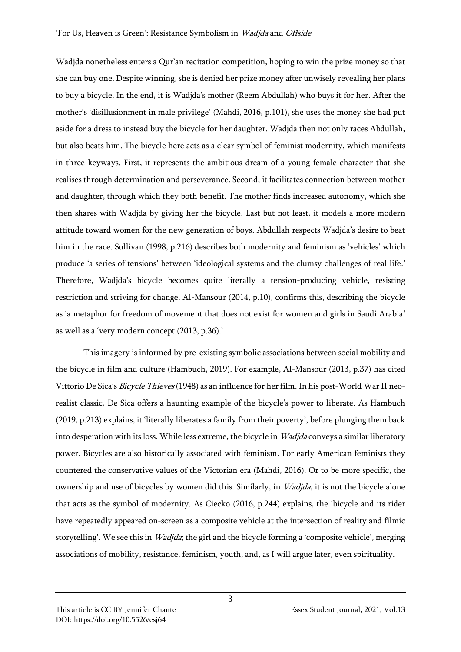Wadjda nonetheless enters a Qur'an recitation competition, hoping to win the prize money so that she can buy one. Despite winning, she is denied her prize money after unwisely revealing her plans to buy a bicycle. In the end, it is Wadjda's mother (Reem Abdullah) who buys it for her. After the mother's 'disillusionment in male privilege' (Mahdi, 2016, p.101), she uses the money she had put aside for a dress to instead buy the bicycle for her daughter. Wadjda then not only races Abdullah, but also beats him. The bicycle here acts as a clear symbol of feminist modernity, which manifests in three keyways. First, it represents the ambitious dream of a young female character that she realises through determination and perseverance. Second, it facilitates connection between mother and daughter, through which they both benefit. The mother finds increased autonomy, which she then shares with Wadjda by giving her the bicycle. Last but not least, it models a more modern attitude toward women for the new generation of boys. Abdullah respects Wadjda's desire to beat him in the race. Sullivan (1998, p.216) describes both modernity and feminism as 'vehicles' which produce 'a series of tensions' between 'ideological systems and the clumsy challenges of real life.' Therefore, Wadjda's bicycle becomes quite literally a tension-producing vehicle, resisting restriction and striving for change. Al-Mansour (2014, p.10), confirms this, describing the bicycle as 'a metaphor for freedom of movement that does not exist for women and girls in Saudi Arabia' as well as a 'very modern concept (2013, p.36).'

This imagery is informed by pre-existing symbolic associations between social mobility and the bicycle in film and culture (Hambuch, 2019). For example, Al-Mansour (2013, p.37) has cited Vittorio De Sica's Bicycle Thieves (1948) as an influence for her film. In his post-World War II neorealist classic, De Sica offers a haunting example of the bicycle's power to liberate. As Hambuch (2019, p.213) explains, it 'literally liberates a family from their poverty', before plunging them back into desperation with its loss. While less extreme, the bicycle in Wadjda conveys a similar liberatory power. Bicycles are also historically associated with feminism. For early American feminists they countered the conservative values of the Victorian era (Mahdi, 2016). Or to be more specific, the ownership and use of bicycles by women did this. Similarly, in Wadjda, it is not the bicycle alone that acts as the symbol of modernity. As Ciecko (2016, p.244) explains, the 'bicycle and its rider have repeatedly appeared on-screen as a composite vehicle at the intersection of reality and filmic storytelling'. We see this in *Wadjda*; the girl and the bicycle forming a 'composite vehicle', merging associations of mobility, resistance, feminism, youth, and, as I will argue later, even spirituality.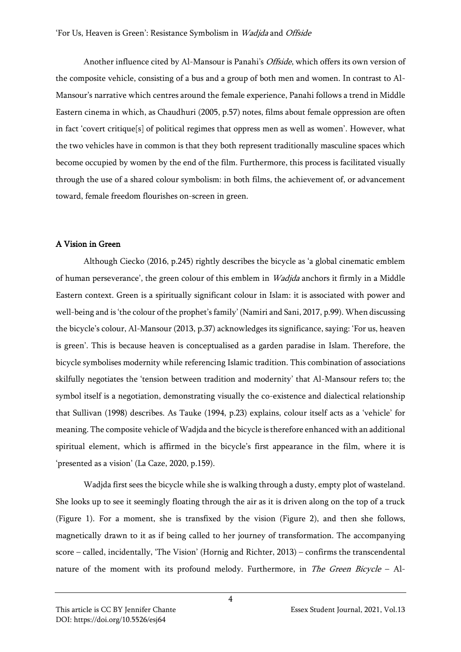Another influence cited by Al-Mansour is Panahi's Offside, which offers its own version of the composite vehicle, consisting of a bus and a group of both men and women. In contrast to Al-Mansour's narrative which centres around the female experience, Panahi follows a trend in Middle Eastern cinema in which, as Chaudhuri (2005, p.57) notes, films about female oppression are often in fact 'covert critique[s] of political regimes that oppress men as well as women'. However, what the two vehicles have in common is that they both represent traditionally masculine spaces which become occupied by women by the end of the film. Furthermore, this process is facilitated visually through the use of a shared colour symbolism: in both films, the achievement of, or advancement toward, female freedom flourishes on-screen in green.

# A Vision in Green

Although Ciecko (2016, p.245) rightly describes the bicycle as 'a global cinematic emblem of human perseverance', the green colour of this emblem in *Wadjda* anchors it firmly in a Middle Eastern context. Green is a spiritually significant colour in Islam: it is associated with power and well-being and is 'the colour of the prophet's family' (Namiri and Sani, 2017, p.99). When discussing the bicycle's colour, Al-Mansour (2013, p.37) acknowledges its significance, saying: 'For us, heaven is green'. This is because heaven is conceptualised as a garden paradise in Islam. Therefore, the bicycle symbolises modernity while referencing Islamic tradition. This combination of associations skilfully negotiates the 'tension between tradition and modernity' that Al-Mansour refers to; the symbol itself is a negotiation, demonstrating visually the co-existence and dialectical relationship that Sullivan (1998) describes. As Tauke (1994, p.23) explains, colour itself acts as a 'vehicle' for meaning. The composite vehicle of Wadjda and the bicycle is therefore enhanced with an additional spiritual element, which is affirmed in the bicycle's first appearance in the film, where it is 'presented as a vision' (La Caze, 2020, p.159).

Wadjda first sees the bicycle while she is walking through a dusty, empty plot of wasteland. She looks up to see it seemingly floating through the air as it is driven along on the top of a truck (Figure 1). For a moment, she is transfixed by the vision (Figure 2), and then she follows, magnetically drawn to it as if being called to her journey of transformation. The accompanying score – called, incidentally, 'The Vision' (Hornig and Richter, 2013) – confirms the transcendental nature of the moment with its profound melody. Furthermore, in *The Green Bicycle* – Al-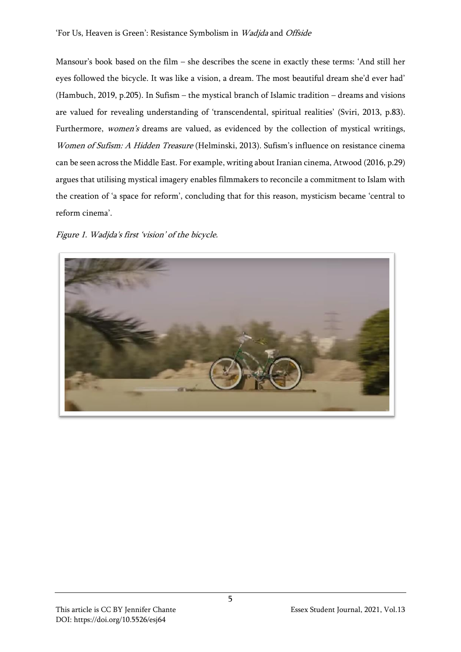### 'For Us, Heaven is Green': Resistance Symbolism in Wadjda and Offside

Mansour's book based on the film – she describes the scene in exactly these terms: 'And still her eyes followed the bicycle. It was like a vision, a dream. The most beautiful dream she'd ever had' (Hambuch, 2019, p.205). In Sufism – the mystical branch of Islamic tradition – dreams and visions are valued for revealing understanding of 'transcendental, spiritual realities' (Sviri, 2013, p.83). Furthermore, women's dreams are valued, as evidenced by the collection of mystical writings, Women of Sufism: A Hidden Treasure (Helminski, 2013). Sufism's influence on resistance cinema can be seen across the Middle East. For example, writing about Iranian cinema, Atwood (2016, p.29) argues that utilising mystical imagery enables filmmakers to reconcile a commitment to Islam with the creation of 'a space for reform', concluding that for this reason, mysticism became 'central to reform cinema'.

Figure 1. Wadjda's first 'vision' of the bicycle.

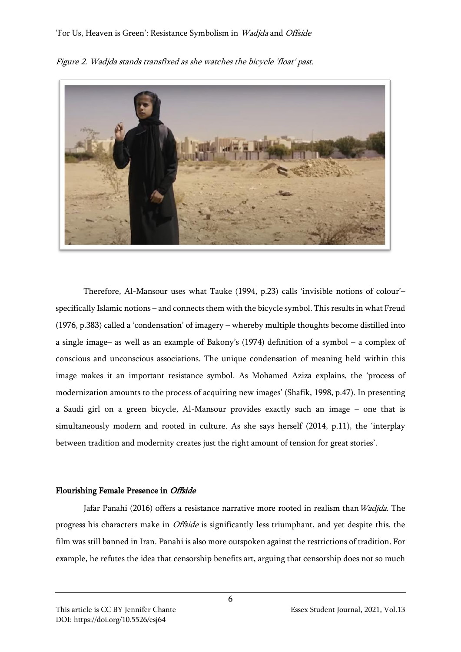## 'For Us, Heaven is Green': Resistance Symbolism in Wadjda and Offside



Figure 2. Wadjda stands transfixed as she watches the bicycle 'float' past.

Therefore, Al-Mansour uses what Tauke (1994, p.23) calls 'invisible notions of colour'– specifically Islamic notions – and connects them with the bicycle symbol. This results in what Freud (1976, p.383) called a 'condensation' of imagery – whereby multiple thoughts become distilled into a single image– as well as an example of Bakony's (1974) definition of a symbol – a complex of conscious and unconscious associations. The unique condensation of meaning held within this image makes it an important resistance symbol. As Mohamed Aziza explains, the 'process of modernization amounts to the process of acquiring new images' (Shafik, 1998, p.47). In presenting a Saudi girl on a green bicycle, Al-Mansour provides exactly such an image – one that is simultaneously modern and rooted in culture. As she says herself (2014, p.11), the 'interplay between tradition and modernity creates just the right amount of tension for great stories'.

### Flourishing Female Presence in Offside

Jafar Panahi (2016) offers a resistance narrative more rooted in realism than Wadjda. The progress his characters make in Offside is significantly less triumphant, and yet despite this, the film was still banned in Iran. Panahi is also more outspoken against the restrictions of tradition. For example, he refutes the idea that censorship benefits art, arguing that censorship does not so much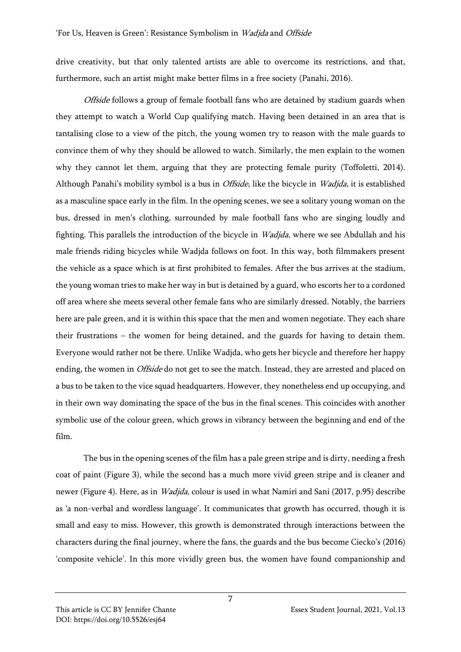drive creativity, but that only talented artists are able to overcome its restrictions, and that, furthermore, such an artist might make better films in a free society (Panahi, 2016).

Offside follows a group of female football fans who are detained by stadium guards when they attempt to watch a World Cup qualifying match. Having been detained in an area that is tantalising close to a view of the pitch, the young women try to reason with the male guards to convince them of why they should be allowed to watch. Similarly, the men explain to the women why they cannot let them, arguing that they are protecting female purity (Toffoletti, 2014). Although Panahi's mobility symbol is a bus in *Offside*, like the bicycle in *Wadjda*, it is established as a masculine space early in the film. In the opening scenes, we see a solitary young woman on the bus, dressed in men's clothing, surrounded by male football fans who are singing loudly and fighting. This parallels the introduction of the bicycle in Wadjda, where we see Abdullah and his male friends riding bicycles while Wadjda follows on foot. In this way, both filmmakers present the vehicle as a space which is at first prohibited to females. After the bus arrives at the stadium, the young woman tries to make her way in but is detained by a guard, who escorts her to a cordoned off area where she meets several other female fans who are similarly dressed. Notably, the barriers here are pale green, and it is within this space that the men and women negotiate. They each share their frustrations – the women for being detained, and the guards for having to detain them. Everyone would rather not be there. Unlike Wadjda, who gets her bicycle and therefore her happy ending, the women in *Offside* do not get to see the match. Instead, they are arrested and placed on a bus to be taken to the vice squad headquarters. However, they nonetheless end up occupying, and in their own way dominating the space of the bus in the final scenes. This coincides with another symbolic use of the colour green, which grows in vibrancy between the beginning and end of the film.

The bus in the opening scenes of the film has a pale green stripe and is dirty, needing a fresh coat of paint (Figure 3), while the second has a much more vivid green stripe and is cleaner and newer (Figure 4). Here, as in Wadjda, colour is used in what Namiri and Sani (2017, p.95) describe as 'a non-verbal and wordless language'. It communicates that growth has occurred, though it is small and easy to miss. However, this growth is demonstrated through interactions between the characters during the final journey, where the fans, the guards and the bus become Ciecko's (2016) 'composite vehicle'. In this more vividly green bus, the women have found companionship and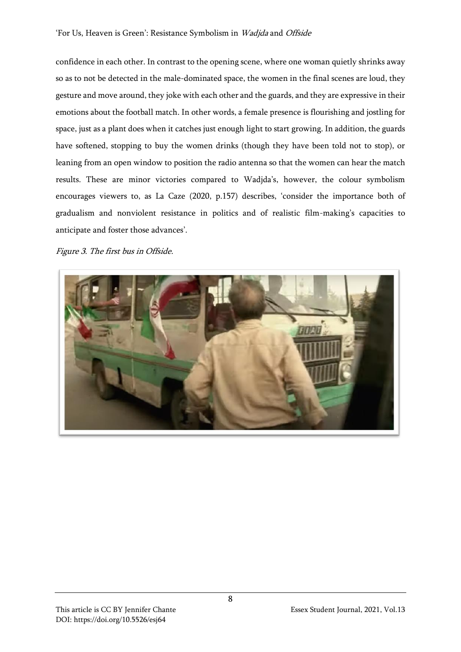confidence in each other. In contrast to the opening scene, where one woman quietly shrinks away so as to not be detected in the male-dominated space, the women in the final scenes are loud, they gesture and move around, they joke with each other and the guards, and they are expressive in their emotions about the football match. In other words, a female presence is flourishing and jostling for space, just as a plant does when it catches just enough light to start growing. In addition, the guards have softened, stopping to buy the women drinks (though they have been told not to stop), or leaning from an open window to position the radio antenna so that the women can hear the match results. These are minor victories compared to Wadjda's, however, the colour symbolism encourages viewers to, as La Caze (2020, p.157) describes, 'consider the importance both of gradualism and nonviolent resistance in politics and of realistic film-making's capacities to anticipate and foster those advances'.

Figure 3. The first bus in Offside.

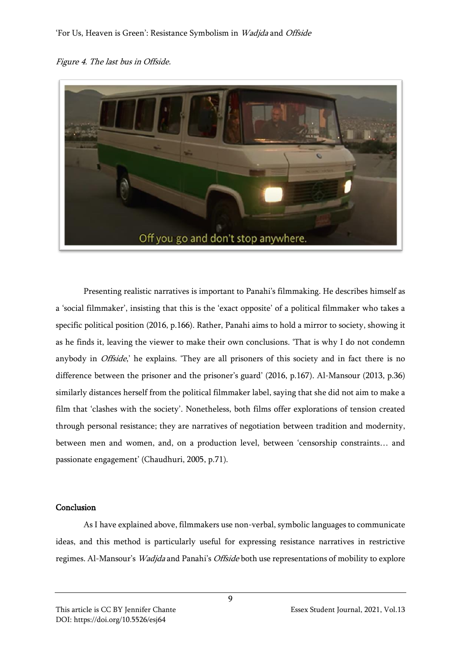



Presenting realistic narratives is important to Panahi's filmmaking. He describes himself as a 'social filmmaker', insisting that this is the 'exact opposite' of a political filmmaker who takes a specific political position (2016, p.166). Rather, Panahi aims to hold a mirror to society, showing it as he finds it, leaving the viewer to make their own conclusions. 'That is why I do not condemn anybody in *Offside*,' he explains. 'They are all prisoners of this society and in fact there is no difference between the prisoner and the prisoner's guard' (2016, p.167). Al-Mansour (2013, p.36) similarly distances herself from the political filmmaker label, saying that she did not aim to make a film that 'clashes with the society'. Nonetheless, both films offer explorations of tension created through personal resistance; they are narratives of negotiation between tradition and modernity, between men and women, and, on a production level, between 'censorship constraints… and passionate engagement' (Chaudhuri, 2005, p.71).

### Conclusion

As Ι have explained above, filmmakers use non-verbal, symbolic languages to communicate ideas, and this method is particularly useful for expressing resistance narratives in restrictive regimes. Al-Mansour's Wadjda and Panahi's Offside both use representations of mobility to explore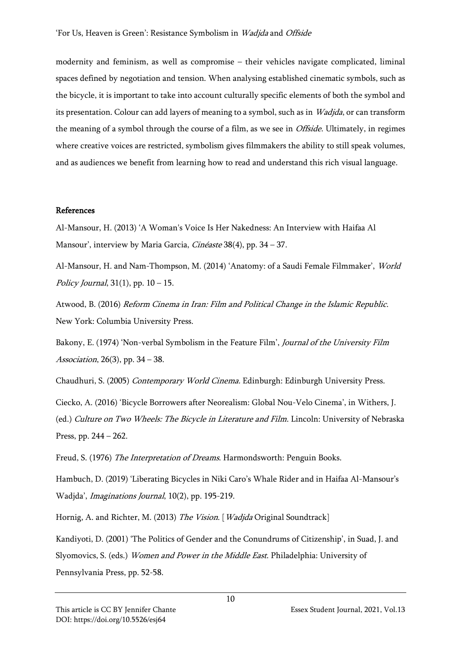modernity and feminism, as well as compromise – their vehicles navigate complicated, liminal spaces defined by negotiation and tension. When analysing established cinematic symbols, such as the bicycle, it is important to take into account culturally specific elements of both the symbol and its presentation. Colour can add layers of meaning to a symbol, such as in *Wadjda*, or can transform the meaning of a symbol through the course of a film, as we see in Offside. Ultimately, in regimes where creative voices are restricted, symbolism gives filmmakers the ability to still speak volumes, and as audiences we benefit from learning how to read and understand this rich visual language.

#### References

Al-Mansour, H. (2013) 'A Woman's Voice Is Her Nakedness: An Interview with Haifaa Al Mansour', interview by Maria Garcia, Cinéaste 38(4), pp. 34 – 37.

Al-Mansour, H. and Nam-Thompson, M. (2014) 'Anatomy: of a Saudi Female Filmmaker', World Policy Journal,  $31(1)$ , pp.  $10 - 15$ .

Atwood, B. (2016) Reform Cinema in Iran: Film and Political Change in the Islamic Republic. New York: Columbia University Press.

Bakony, E. (1974) 'Non-verbal Symbolism in the Feature Film', Journal of the University Film Association, 26(3), pp. 34 – 38.

Chaudhuri, S. (2005) Contemporary World Cinema. Edinburgh: Edinburgh University Press.

Ciecko, A. (2016) 'Bicycle Borrowers after Neorealism: Global Nou-Velo Cinema', in Withers, J. (ed.) Culture on Two Wheels: The Bicycle in Literature and Film. Lincoln: University of Nebraska Press, pp. 244 – 262.

Freud, S. (1976) The Interpretation of Dreams. Harmondsworth: Penguin Books.

Hambuch, D. (2019) 'Liberating Bicycles in Niki Caro's Whale Rider and in Haifaa Al-Mansour's Wadjda', Imaginations Journal, 10(2), pp. 195-219.

Hornig, A. and Richter, M. (2013) The Vision. [Wadjda Original Soundtrack]

Kandiyoti, D. (2001) 'The Politics of Gender and the Conundrums of Citizenship', in Suad, J. and Slyomovics, S. (eds.) Women and Power in the Middle East. Philadelphia: University of Pennsylvania Press, pp. 52-58.